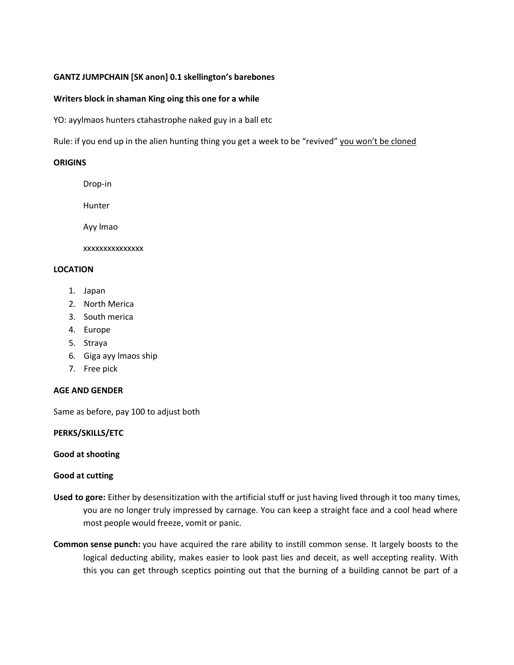# **GANTZ JUMPCHAIN [SK anon] 0.1 skellington's barebones**

### **Writers block in shaman King oing this one for a while**

YO: ayylmaos hunters ctahastrophe naked guy in a ball etc

Rule: if you end up in the alien hunting thing you get a week to be "revived" you won't be cloned

### **ORIGINS**

- Drop-in
- Hunter

Ayy lmao

xxxxxxxxxxxxxxx

### **LOCATION**

- 1. Japan
- 2. North Merica
- 3. South merica
- 4. Europe
- 5. Straya
- 6. Giga ayy lmaos ship
- 7. Free pick

### **AGE AND GENDER**

Same as before, pay 100 to adjust both

### **PERKS/SKILLS/ETC**

### **Good at shooting**

# **Good at cutting**

- **Used to gore:** Either by desensitization with the artificial stuff or just having lived through it too many times, you are no longer truly impressed by carnage. You can keep a straight face and a cool head where most people would freeze, vomit or panic.
- **Common sense punch:** you have acquired the rare ability to instill common sense. It largely boosts to the logical deducting ability, makes easier to look past lies and deceit, as well accepting reality. With this you can get through sceptics pointing out that the burning of a building cannot be part of a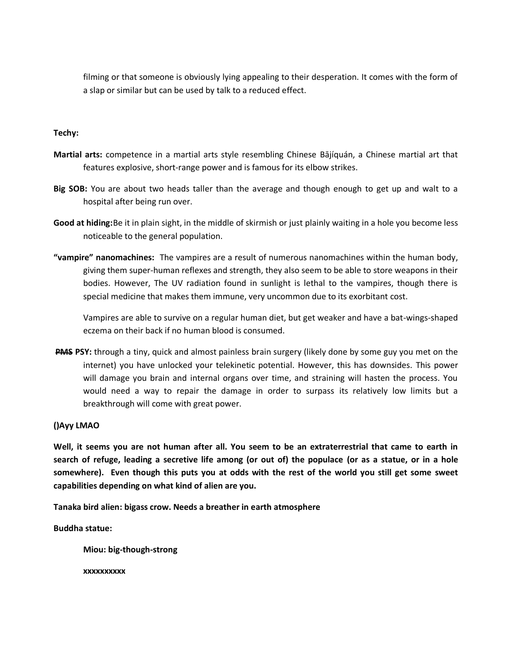filming or that someone is obviously lying appealing to their desperation. It comes with the form of a slap or similar but can be used by talk to a reduced effect.

### **Techy:**

- **Martial arts:** competence in a martial arts style resembling Chinese Bājíquán, a Chinese martial art that features explosive, short-range power and is famous for its elbow strikes.
- **Big SOB:** You are about two heads taller than the average and though enough to get up and walt to a hospital after being run over.
- **Good at hiding:**Be it in plain sight, in the middle of skirmish or just plainly waiting in a hole you become less noticeable to the general population.
- **"vampire" nanomachines:** The vampires are a result of numerous nanomachines within the human body, giving them super-human reflexes and strength, they also seem to be able to store weapons in their bodies. However, The UV radiation found in sunlight is lethal to the vampires, though there is special medicine that makes them immune, very uncommon due to its exorbitant cost.

Vampires are able to survive on a regular human diet, but get weaker and have a bat-wings-shaped eczema on their back if no human blood is consumed.

**PMS PSY:** through a tiny, quick and almost painless brain surgery (likely done by some guy you met on the internet) you have unlocked your telekinetic potential. However, this has downsides. This power will damage you brain and internal organs over time, and straining will hasten the process. You would need a way to repair the damage in order to surpass its relatively low limits but a breakthrough will come with great power.

# **()Ayy LMAO**

**Well, it seems you are not human after all. You seem to be an extraterrestrial that came to earth in search of refuge, leading a secretive life among (or out of) the populace (or as a statue, or in a hole somewhere). Even though this puts you at odds with the rest of the world you still get some sweet capabilities depending on what kind of alien are you.**

**Tanaka bird alien: bigass crow. Needs a breather in earth atmosphere**

**Buddha statue:**

**Miou: big-though-strong**

**xxxxxxxxxx**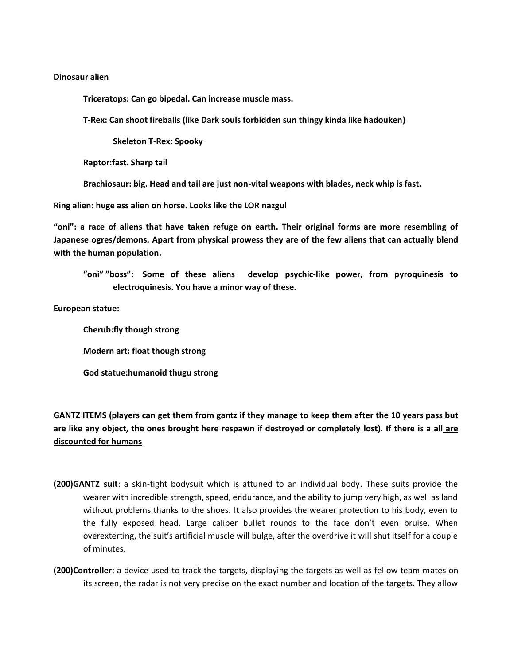#### **Dinosaur alien**

**Triceratops: Can go bipedal. Can increase muscle mass.** 

**T-Rex: Can shoot fireballs (like Dark souls forbidden sun thingy kinda like hadouken)**

**Skeleton T-Rex: Spooky**

**Raptor:fast. Sharp tail**

**Brachiosaur: big. Head and tail are just non-vital weapons with blades, neck whip is fast.**

**Ring alien: huge ass alien on horse. Looks like the LOR nazgul**

**"oni": a race of aliens that have taken refuge on earth. Their original forms are more resembling of Japanese ogres/demons. Apart from physical prowess they are of the few aliens that can actually blend with the human population.**

**"oni" "boss": Some of these aliens develop psychic-like power, from pyroquinesis to electroquinesis. You have a minor way of these.**

**European statue:**

**Cherub:fly though strong Modern art: float though strong God statue:humanoid thugu strong**

**GANTZ ITEMS (players can get them from gantz if they manage to keep them after the 10 years pass but are like any object, the ones brought here respawn if destroyed or completely lost). If there is a all are discounted for humans**

- **(200)GANTZ suit**: a skin-tight bodysuit which is attuned to an individual body. These suits provide the wearer with incredible strength, speed, endurance, and the ability to jump very high, as well as land without problems thanks to the shoes. It also provides the wearer protection to his body, even to the fully exposed head. Large caliber bullet rounds to the face don't even bruise. When overexterting, the suit's artificial muscle will bulge, after the overdrive it will shut itself for a couple of minutes.
- **(200)Controller**: a device used to track the targets, displaying the targets as well as fellow team mates on its screen, the radar is not very precise on the exact number and location of the targets. They allow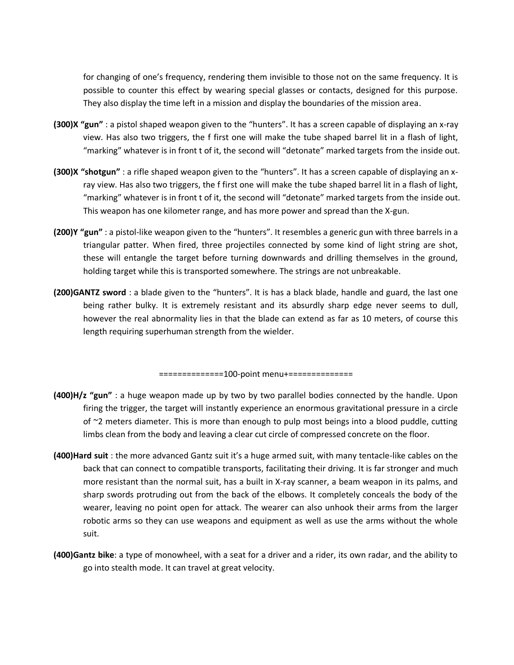for changing of one's frequency, rendering them invisible to those not on the same frequency. It is possible to counter this effect by wearing special glasses or contacts, designed for this purpose. They also display the time left in a mission and display the boundaries of the mission area.

- **(300)X "gun"** : a pistol shaped weapon given to the "hunters". It has a screen capable of displaying an x-ray view. Has also two triggers, the f first one will make the tube shaped barrel lit in a flash of light, "marking" whatever is in front t of it, the second will "detonate" marked targets from the inside out.
- **(300)X "shotgun"** : a rifle shaped weapon given to the "hunters". It has a screen capable of displaying an xray view. Has also two triggers, the f first one will make the tube shaped barrel lit in a flash of light, "marking" whatever is in front t of it, the second will "detonate" marked targets from the inside out. This weapon has one kilometer range, and has more power and spread than the X-gun.
- **(200)Y "gun"** : a pistol-like weapon given to the "hunters". It resembles a generic gun with three barrels in a triangular patter. When fired, three projectiles connected by some kind of light string are shot, these will entangle the target before turning downwards and drilling themselves in the ground, holding target while this is transported somewhere. The strings are not unbreakable.
- **(200)GANTZ sword** : a blade given to the "hunters". It is has a black blade, handle and guard, the last one being rather bulky. It is extremely resistant and its absurdly sharp edge never seems to dull, however the real abnormality lies in that the blade can extend as far as 10 meters, of course this length requiring superhuman strength from the wielder.

==============100-point menu+==============

- **(400)H/z "gun"** : a huge weapon made up by two by two parallel bodies connected by the handle. Upon firing the trigger, the target will instantly experience an enormous gravitational pressure in a circle of  $\approx$  2 meters diameter. This is more than enough to pulp most beings into a blood puddle, cutting limbs clean from the body and leaving a clear cut circle of compressed concrete on the floor.
- **(400)Hard suit** : the more advanced Gantz suit it's a huge armed suit, with many tentacle-like cables on the back that can connect to compatible transports, facilitating their driving. It is far stronger and much more resistant than the normal suit, has a built in X-ray scanner, a beam weapon in its palms, and sharp swords protruding out from the back of the elbows. It completely conceals the body of the wearer, leaving no point open for attack. The wearer can also unhook their arms from the larger robotic arms so they can use weapons and equipment as well as use the arms without the whole suit.
- **(400)Gantz bike**: a type of monowheel, with a seat for a driver and a rider, its own radar, and the ability to go into stealth mode. It can travel at great velocity.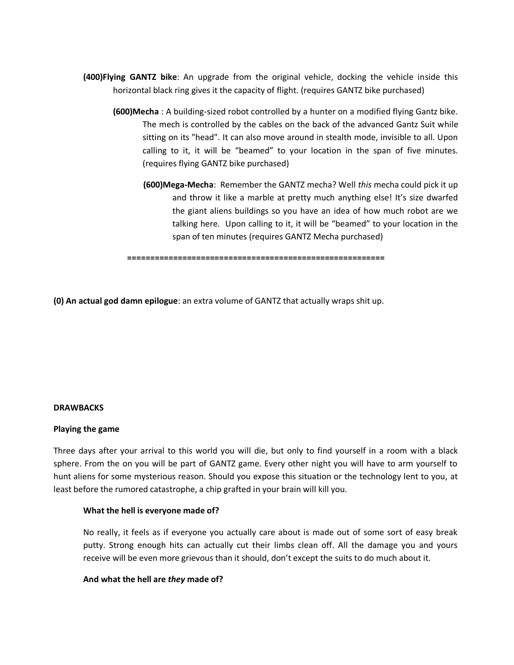- **(400)Flying GANTZ bike**: An upgrade from the original vehicle, docking the vehicle inside this horizontal black ring gives it the capacity of flight. (requires GANTZ bike purchased)
	- **(600)Mecha** : A building-sized robot controlled by a hunter on a modified flying Gantz bike. The mech is controlled by the cables on the back of the advanced Gantz Suit while sitting on its "head". It can also move around in stealth mode, invisible to all. Upon calling to it, it will be "beamed" to your location in the span of five minutes. (requires flying GANTZ bike purchased)
		- **(600)Mega-Mecha**: Remember the GANTZ mecha? Well *this* mecha could pick it up and throw it like a marble at pretty much anything else! It's size dwarfed the giant aliens buildings so you have an idea of how much robot are we talking here. Upon calling to it, it will be "beamed" to your location in the span of ten minutes (requires GANTZ Mecha purchased)

**========================================================**

**(0) An actual god damn epilogue**: an extra volume of GANTZ that actually wraps shit up.

### **DRAWBACKS**

#### **Playing the game**

Three days after your arrival to this world you will die, but only to find yourself in a room with a black sphere. From the on you will be part of GANTZ game. Every other night you will have to arm yourself to hunt aliens for some mysterious reason. Should you expose this situation or the technology lent to you, at least before the rumored catastrophe, a chip grafted in your brain will kill you.

#### **What the hell is everyone made of?**

No really, it feels as if everyone you actually care about is made out of some sort of easy break putty. Strong enough hits can actually cut their limbs clean off. All the damage you and yours receive will be even more grievous than it should, don't except the suits to do much about it.

#### **And what the hell are** *they* **made of?**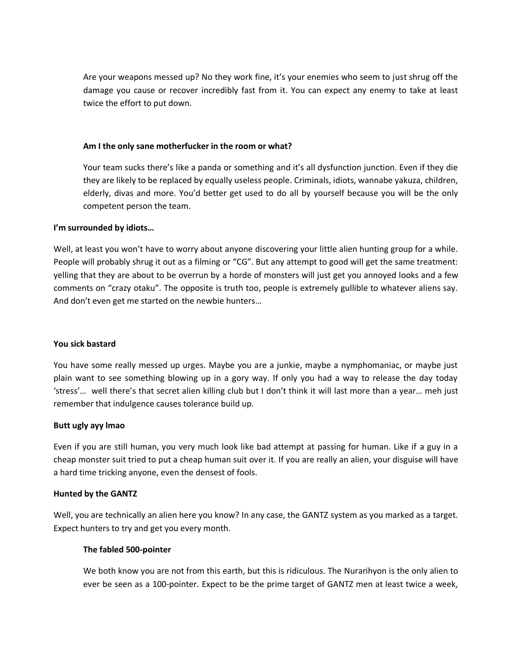Are your weapons messed up? No they work fine, it's your enemies who seem to just shrug off the damage you cause or recover incredibly fast from it. You can expect any enemy to take at least twice the effort to put down.

### **Am I the only sane motherfucker in the room or what?**

Your team sucks there's like a panda or something and it's all dysfunction junction. Even if they die they are likely to be replaced by equally useless people. Criminals, idiots, wannabe yakuza, children, elderly, divas and more. You'd better get used to do all by yourself because you will be the only competent person the team.

### **I'm surrounded by idiots…**

Well, at least you won't have to worry about anyone discovering your little alien hunting group for a while. People will probably shrug it out as a filming or "CG". But any attempt to good will get the same treatment: yelling that they are about to be overrun by a horde of monsters will just get you annoyed looks and a few comments on "crazy otaku". The opposite is truth too, people is extremely gullible to whatever aliens say. And don't even get me started on the newbie hunters…

# **You sick bastard**

You have some really messed up urges. Maybe you are a junkie, maybe a nymphomaniac, or maybe just plain want to see something blowing up in a gory way. If only you had a way to release the day today 'stress'… well there's that secret alien killing club but I don't think it will last more than a year… meh just remember that indulgence causes tolerance build up.

# **Butt ugly ayy lmao**

Even if you are still human, you very much look like bad attempt at passing for human. Like if a guy in a cheap monster suit tried to put a cheap human suit over it. If you are really an alien, your disguise will have a hard time tricking anyone, even the densest of fools.

# **Hunted by the GANTZ**

Well, you are technically an alien here you know? In any case, the GANTZ system as you marked as a target. Expect hunters to try and get you every month.

# **The fabled 500-pointer**

We both know you are not from this earth, but this is ridiculous. The Nurarihyon is the only alien to ever be seen as a 100-pointer. Expect to be the prime target of GANTZ men at least twice a week,